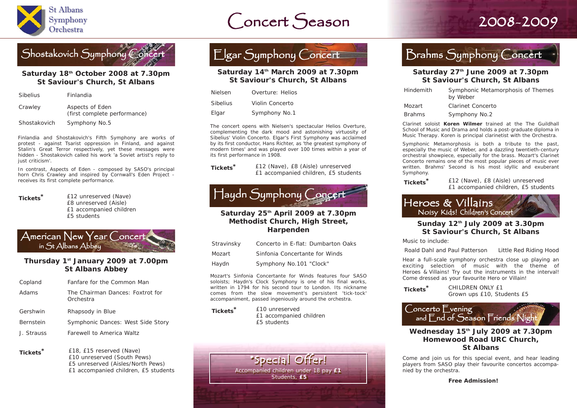

# Concert Season 2008-2009 St Albans Symphony Orchestra St Albans Symphony Orchestra



### **Saturday 18th October 2008 at 7.30pm St Saviour's Church, St Albans**

| <b>Sibelius</b> | Finlandia                                       |
|-----------------|-------------------------------------------------|
| Crawley         | Aspects of Eden<br>(first complete performance) |
| Shostakovich    | Symphony No.5                                   |

Finlandia and Shostakovich's Fifth Symphony are works of protest - against Tsarist oppression in Finland, and against Stalin's Great Terror respectively, yet these messages were hidden - Shostakovich called his work 'a Soviet artist's reply to just criticism'.

In contrast, Aspects of Eden - composed by SASO's principal horn Chris Crawley and inspired by Cornwall's Eden Project receives its first complete performance.

**Tickets \***

 £12 unreserved (Nave) £8 unreserved (Aisle) £1 accompanied children £5 students

|                                                                                                         |  | American New Year Concert |
|---------------------------------------------------------------------------------------------------------|--|---------------------------|
| $\mathsf{I}$ ín $\mathsf{St}\hspace{0.01in}\mathsf{Albans}\hspace{0.01in}\mathsf{Abbey}\hspace{0.01in}$ |  |                           |

### **Thursday 1st January 2009 at 7.00pm St Albans Abbey**

| Copland          | Fanfare for the Common Man                    |
|------------------|-----------------------------------------------|
| Adams            | The Chairman Dances: Foxtrot for<br>Orchestra |
| Gershwin         | Rhapsody in Blue                              |
| <b>Bernstein</b> | Symphonic Dances: West Side Story             |
| J. Strauss       | Farewell to America Waltz                     |
|                  |                                               |

**Tickets \*** £18, £15 reserved (Nave) £10 unreserved (South Pews) £5 unreserved (Aisles/North Pews) £1 accompanied children, £5 students



#### **Saturday 14th March 2009 at 7.30pm St Saviour's Church, St Albans**

| <b>Nielsen</b> | Overture: Helios |
|----------------|------------------|
| Sibelius       | Violin Concerto  |
| Elaar          | Symphony No.1    |

The concert opens with Nielsen's spectacular Helios Overture, complementing the dark mood and astonishing virtuosity of Sibelius' Violin Concerto. Elgar's First Symphony was acclaimed by its first conductor, Hans Richter, as 'the greatest symphony of modern times' and was played over 100 times within a year of its first performance in 1908.

| Tickets <sup>*</sup> | £12 (Nave), £8 (Aisle) unreserved    |
|----------------------|--------------------------------------|
|                      | £1 accompanied children, £5 students |

## Haydn Symphony Concert

### **Saturday 25th April 2009 at 7.30pm Methodist Church, High Street, Harpenden**

| Stravinsky | Concerto in E-flat: Dumbarton Oaks |
|------------|------------------------------------|
| Mozart     | Sinfonia Concertante for Winds     |
| Haydn      | Symphony No.101 "Clock"            |

Mozart's Sinfonia Concertante for Winds features four SASO soloists; Haydn's Clock Symphony is one of his final works, written in 1794 for his second tour to London. Its nickname comes from the slow movement's persistent 'tick-tock' accompaniment, passed ingeniously around the orchestra.

**Tickets \*** £10 unreserved £1 accompanied children £5 students



### Brahms Symphony Concert

### **Saturday 27th June 2009 at 7.30pm St Saviour's Church, St Albans**

| Hindemith     | Symphonic Metamorphosis of Themes<br>by Weber |
|---------------|-----------------------------------------------|
| <i>Mozart</i> | Clarinet Concerto                             |
| <b>Brahms</b> | Symphony No.2                                 |

*Clarinet soloist Koren Wilmer trained at the The Guildhall School of Music and Drama and holds a post-graduate diploma in Music Therapy. Koren is principal clarinetist with the Orchestra.*

Symphonic Metamorphosis is both a tribute to the past, especially the music of Weber, and a dazzling twentieth-century orchestral showpiece, especially for the brass. Mozart's Clarinet Concerto remains one of the most popular pieces of music ever written. Brahms' Second is his most idyllic and exuberant Symphony.

**Tickets \***

 £12 (Nave), £8 (Aisle) unreserved £1 accompanied children, £5 students

### Heroes & Villains Noisy Kids! Children's Concert

### **Sunday 12th July 2009 at 3.30pm St Saviour's Church, St Albans**

*Music to include:* 

*Roald Dahl and Paul Patterson* Little Red Riding Hood

Hear a full-scale symphony orchestra close up playing an exciting selection of music with the theme of Heroes & Villains! Try out the instruments in the interval! Come dressed as your favourite Hero or Villain!

**Tickets \*** CHILDREN ONLY £1 Grown ups £10, Students £5



#### **Wednesday 15th July 2009 at 7.30pm Homewood Road URC Church, St Albans**

Come and join us for this special event, and hear leading players from SASO play their favourite concertos accompanied by the orchestra.

**Free Admission!**